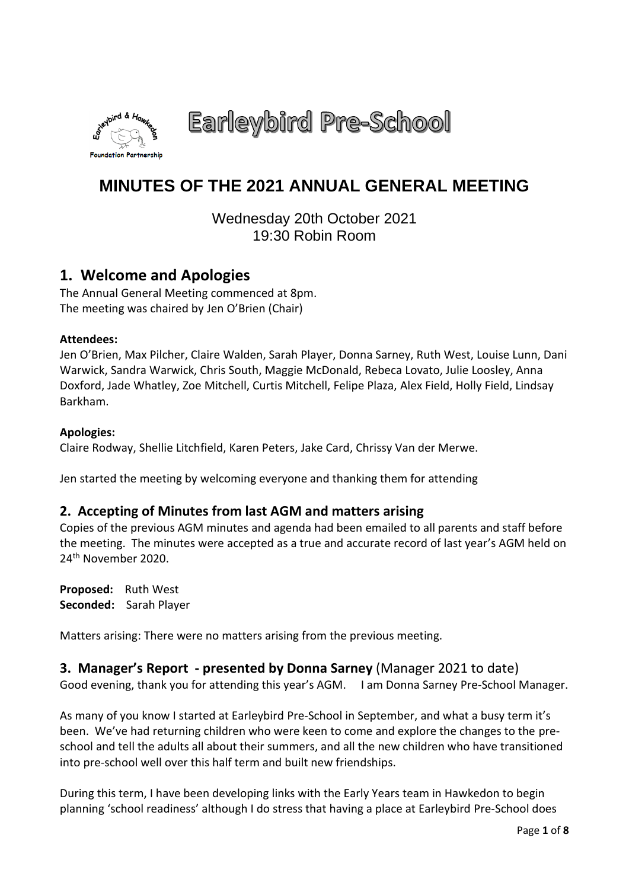

Earleybird Pre-School

# **MINUTES OF THE 2021 ANNUAL GENERAL MEETING**

Wednesday 20th October 2021 19:30 Robin Room

# **1. Welcome and Apologies**

The Annual General Meeting commenced at 8pm. The meeting was chaired by Jen O'Brien (Chair)

### **Attendees:**

Jen O'Brien, Max Pilcher, Claire Walden, Sarah Player, Donna Sarney, Ruth West, Louise Lunn, Dani Warwick, Sandra Warwick, Chris South, Maggie McDonald, Rebeca Lovato, Julie Loosley, Anna Doxford, Jade Whatley, Zoe Mitchell, Curtis Mitchell, Felipe Plaza, Alex Field, Holly Field, Lindsay Barkham.

### **Apologies:**

Claire Rodway, Shellie Litchfield, Karen Peters, Jake Card, Chrissy Van der Merwe.

Jen started the meeting by welcoming everyone and thanking them for attending

# **2. Accepting of Minutes from last AGM and matters arising**

Copies of the previous AGM minutes and agenda had been emailed to all parents and staff before the meeting. The minutes were accepted as a true and accurate record of last year's AGM held on 24th November 2020.

**Proposed:** Ruth West **Seconded:** Sarah Player

Matters arising: There were no matters arising from the previous meeting.

# **3. Manager's Report - presented by Donna Sarney** (Manager 2021 to date)

Good evening, thank you for attending this year's AGM. I am Donna Sarney Pre-School Manager.

As many of you know I started at Earleybird Pre-School in September, and what a busy term it's been. We've had returning children who were keen to come and explore the changes to the preschool and tell the adults all about their summers, and all the new children who have transitioned into pre-school well over this half term and built new friendships.

During this term, I have been developing links with the Early Years team in Hawkedon to begin planning 'school readiness' although I do stress that having a place at Earleybird Pre-School does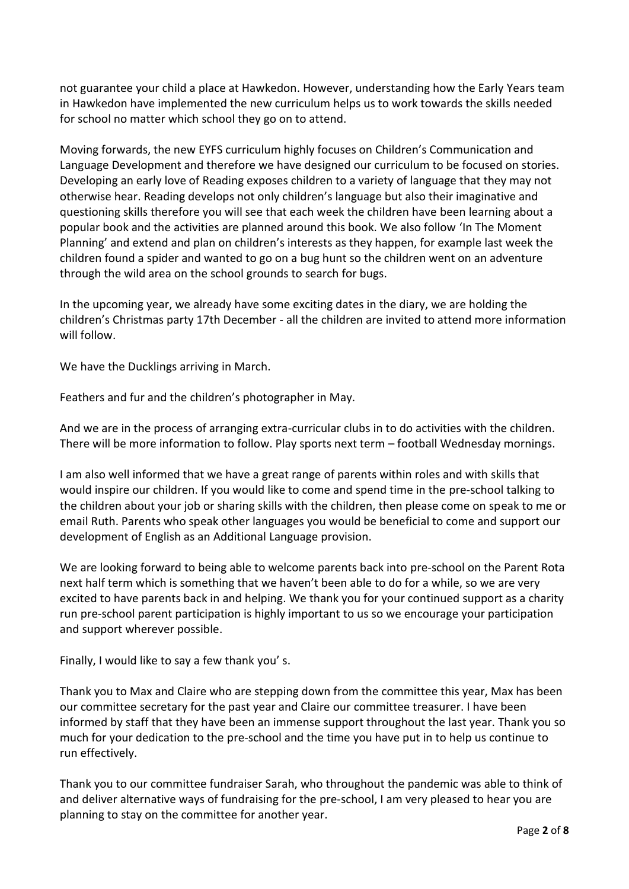not guarantee your child a place at Hawkedon. However, understanding how the Early Years team in Hawkedon have implemented the new curriculum helps us to work towards the skills needed for school no matter which school they go on to attend.

Moving forwards, the new EYFS curriculum highly focuses on Children's Communication and Language Development and therefore we have designed our curriculum to be focused on stories. Developing an early love of Reading exposes children to a variety of language that they may not otherwise hear. Reading develops not only children's language but also their imaginative and questioning skills therefore you will see that each week the children have been learning about a popular book and the activities are planned around this book. We also follow 'In The Moment Planning' and extend and plan on children's interests as they happen, for example last week the children found a spider and wanted to go on a bug hunt so the children went on an adventure through the wild area on the school grounds to search for bugs.

In the upcoming year, we already have some exciting dates in the diary, we are holding the children's Christmas party 17th December - all the children are invited to attend more information will follow.

We have the Ducklings arriving in March.

Feathers and fur and the children's photographer in May.

And we are in the process of arranging extra-curricular clubs in to do activities with the children. There will be more information to follow. Play sports next term – football Wednesday mornings.

I am also well informed that we have a great range of parents within roles and with skills that would inspire our children. If you would like to come and spend time in the pre-school talking to the children about your job or sharing skills with the children, then please come on speak to me or email Ruth. Parents who speak other languages you would be beneficial to come and support our development of English as an Additional Language provision.

We are looking forward to being able to welcome parents back into pre-school on the Parent Rota next half term which is something that we haven't been able to do for a while, so we are very excited to have parents back in and helping. We thank you for your continued support as a charity run pre-school parent participation is highly important to us so we encourage your participation and support wherever possible.

Finally, I would like to say a few thank you' s.

Thank you to Max and Claire who are stepping down from the committee this year, Max has been our committee secretary for the past year and Claire our committee treasurer. I have been informed by staff that they have been an immense support throughout the last year. Thank you so much for your dedication to the pre-school and the time you have put in to help us continue to run effectively.

Thank you to our committee fundraiser Sarah, who throughout the pandemic was able to think of and deliver alternative ways of fundraising for the pre-school, I am very pleased to hear you are planning to stay on the committee for another year.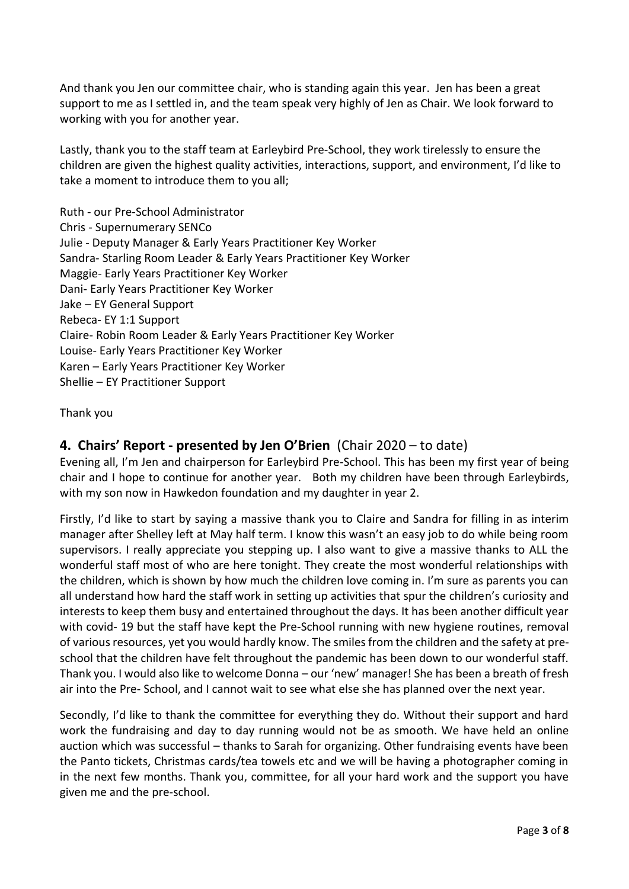And thank you Jen our committee chair, who is standing again this year. Jen has been a great support to me as I settled in, and the team speak very highly of Jen as Chair. We look forward to working with you for another year.

Lastly, thank you to the staff team at Earleybird Pre-School, they work tirelessly to ensure the children are given the highest quality activities, interactions, support, and environment, I'd like to take a moment to introduce them to you all;

Ruth - our Pre-School Administrator Chris - Supernumerary SENCo Julie - Deputy Manager & Early Years Practitioner Key Worker Sandra- Starling Room Leader & Early Years Practitioner Key Worker Maggie- Early Years Practitioner Key Worker Dani- Early Years Practitioner Key Worker Jake – EY General Support Rebeca- EY 1:1 Support Claire- Robin Room Leader & Early Years Practitioner Key Worker Louise- Early Years Practitioner Key Worker Karen – Early Years Practitioner Key Worker Shellie – EY Practitioner Support

# Thank you

# **4. Chairs' Report - presented by Jen O'Brien** (Chair 2020 – to date)

Evening all, I'm Jen and chairperson for Earleybird Pre-School. This has been my first year of being chair and I hope to continue for another year. Both my children have been through Earleybirds, with my son now in Hawkedon foundation and my daughter in year 2.

Firstly, I'd like to start by saying a massive thank you to Claire and Sandra for filling in as interim manager after Shelley left at May half term. I know this wasn't an easy job to do while being room supervisors. I really appreciate you stepping up. I also want to give a massive thanks to ALL the wonderful staff most of who are here tonight. They create the most wonderful relationships with the children, which is shown by how much the children love coming in. I'm sure as parents you can all understand how hard the staff work in setting up activities that spur the children's curiosity and interests to keep them busy and entertained throughout the days. It has been another difficult year with covid- 19 but the staff have kept the Pre-School running with new hygiene routines, removal of various resources, yet you would hardly know. The smiles from the children and the safety at preschool that the children have felt throughout the pandemic has been down to our wonderful staff. Thank you. I would also like to welcome Donna – our 'new' manager! She has been a breath of fresh air into the Pre- School, and I cannot wait to see what else she has planned over the next year.

Secondly, I'd like to thank the committee for everything they do. Without their support and hard work the fundraising and day to day running would not be as smooth. We have held an online auction which was successful – thanks to Sarah for organizing. Other fundraising events have been the Panto tickets, Christmas cards/tea towels etc and we will be having a photographer coming in in the next few months. Thank you, committee, for all your hard work and the support you have given me and the pre-school.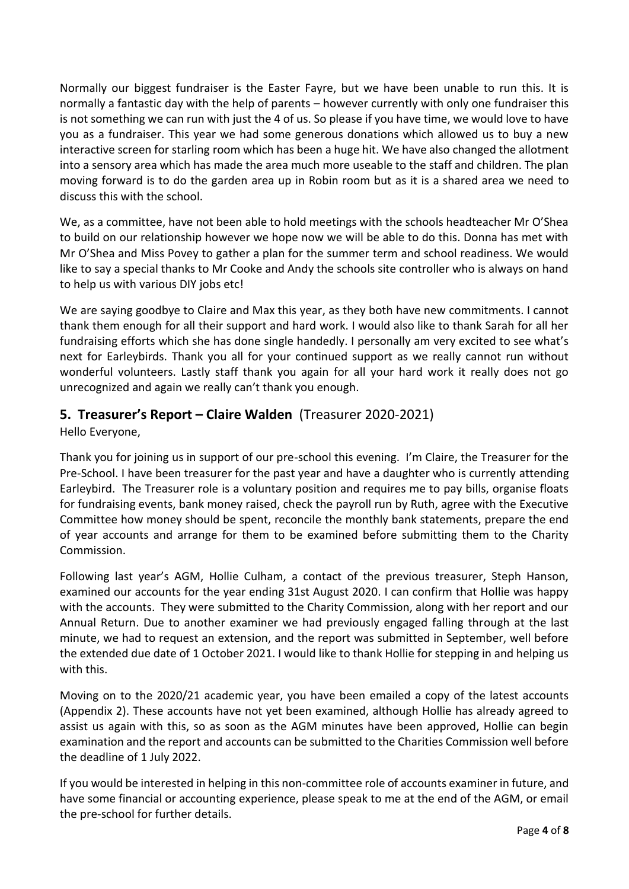Normally our biggest fundraiser is the Easter Fayre, but we have been unable to run this. It is normally a fantastic day with the help of parents – however currently with only one fundraiser this is not something we can run with just the 4 of us. So please if you have time, we would love to have you as a fundraiser. This year we had some generous donations which allowed us to buy a new interactive screen for starling room which has been a huge hit. We have also changed the allotment into a sensory area which has made the area much more useable to the staff and children. The plan moving forward is to do the garden area up in Robin room but as it is a shared area we need to discuss this with the school.

We, as a committee, have not been able to hold meetings with the schools headteacher Mr O'Shea to build on our relationship however we hope now we will be able to do this. Donna has met with Mr O'Shea and Miss Povey to gather a plan for the summer term and school readiness. We would like to say a special thanks to Mr Cooke and Andy the schools site controller who is always on hand to help us with various DIY jobs etc!

We are saying goodbye to Claire and Max this year, as they both have new commitments. I cannot thank them enough for all their support and hard work. I would also like to thank Sarah for all her fundraising efforts which she has done single handedly. I personally am very excited to see what's next for Earleybirds. Thank you all for your continued support as we really cannot run without wonderful volunteers. Lastly staff thank you again for all your hard work it really does not go unrecognized and again we really can't thank you enough.

# **5. Treasurer's Report – Claire Walden** (Treasurer 2020-2021)

Hello Everyone,

Thank you for joining us in support of our pre-school this evening. I'm Claire, the Treasurer for the Pre-School. I have been treasurer for the past year and have a daughter who is currently attending Earleybird. The Treasurer role is a voluntary position and requires me to pay bills, organise floats for fundraising events, bank money raised, check the payroll run by Ruth, agree with the Executive Committee how money should be spent, reconcile the monthly bank statements, prepare the end of year accounts and arrange for them to be examined before submitting them to the Charity Commission.

Following last year's AGM, Hollie Culham, a contact of the previous treasurer, Steph Hanson, examined our accounts for the year ending 31st August 2020. I can confirm that Hollie was happy with the accounts. They were submitted to the Charity Commission, along with her report and our Annual Return. Due to another examiner we had previously engaged falling through at the last minute, we had to request an extension, and the report was submitted in September, well before the extended due date of 1 October 2021. I would like to thank Hollie for stepping in and helping us with this.

Moving on to the 2020/21 academic year, you have been emailed a copy of the latest accounts (Appendix 2). These accounts have not yet been examined, although Hollie has already agreed to assist us again with this, so as soon as the AGM minutes have been approved, Hollie can begin examination and the report and accounts can be submitted to the Charities Commission well before the deadline of 1 July 2022.

If you would be interested in helping in this non-committee role of accounts examiner in future, and have some financial or accounting experience, please speak to me at the end of the AGM, or email the pre-school for further details.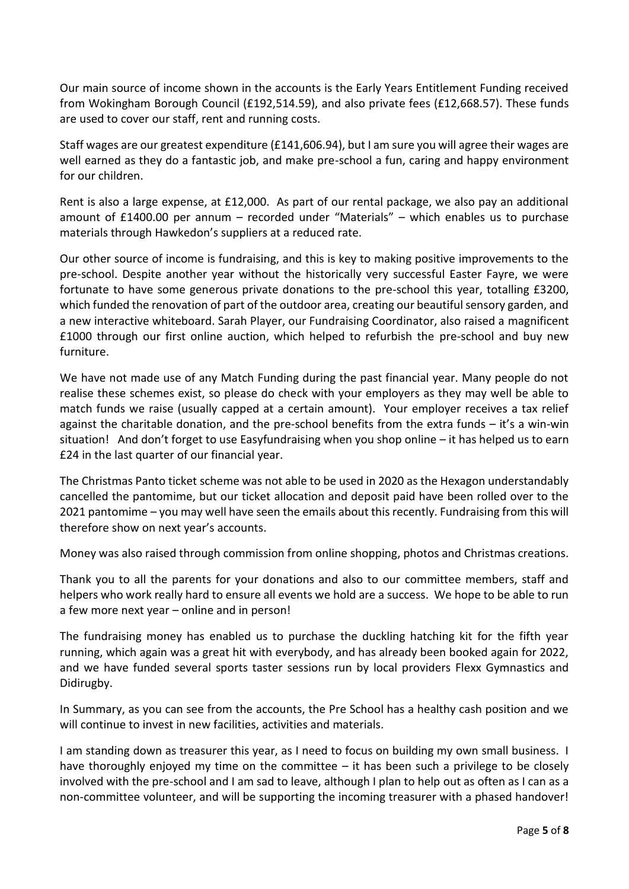Our main source of income shown in the accounts is the Early Years Entitlement Funding received from Wokingham Borough Council (£192,514.59), and also private fees (£12,668.57). These funds are used to cover our staff, rent and running costs.

Staff wages are our greatest expenditure (£141,606.94), but I am sure you will agree their wages are well earned as they do a fantastic job, and make pre-school a fun, caring and happy environment for our children.

Rent is also a large expense, at £12,000. As part of our rental package, we also pay an additional amount of  $£1400.00$  per annum – recorded under "Materials" – which enables us to purchase materials through Hawkedon's suppliers at a reduced rate.

Our other source of income is fundraising, and this is key to making positive improvements to the pre-school. Despite another year without the historically very successful Easter Fayre, we were fortunate to have some generous private donations to the pre-school this year, totalling £3200, which funded the renovation of part of the outdoor area, creating our beautiful sensory garden, and a new interactive whiteboard. Sarah Player, our Fundraising Coordinator, also raised a magnificent £1000 through our first online auction, which helped to refurbish the pre-school and buy new furniture.

We have not made use of any Match Funding during the past financial year. Many people do not realise these schemes exist, so please do check with your employers as they may well be able to match funds we raise (usually capped at a certain amount). Your employer receives a tax relief against the charitable donation, and the pre-school benefits from the extra funds – it's a win-win situation! And don't forget to use Easyfundraising when you shop online – it has helped us to earn £24 in the last quarter of our financial year.

The Christmas Panto ticket scheme was not able to be used in 2020 as the Hexagon understandably cancelled the pantomime, but our ticket allocation and deposit paid have been rolled over to the 2021 pantomime – you may well have seen the emails about this recently. Fundraising from this will therefore show on next year's accounts.

Money was also raised through commission from online shopping, photos and Christmas creations.

Thank you to all the parents for your donations and also to our committee members, staff and helpers who work really hard to ensure all events we hold are a success. We hope to be able to run a few more next year – online and in person!

The fundraising money has enabled us to purchase the duckling hatching kit for the fifth year running, which again was a great hit with everybody, and has already been booked again for 2022, and we have funded several sports taster sessions run by local providers Flexx Gymnastics and Didirugby.

In Summary, as you can see from the accounts, the Pre School has a healthy cash position and we will continue to invest in new facilities, activities and materials.

I am standing down as treasurer this year, as I need to focus on building my own small business. I have thoroughly enjoyed my time on the committee  $-$  it has been such a privilege to be closely involved with the pre-school and I am sad to leave, although I plan to help out as often as I can as a non-committee volunteer, and will be supporting the incoming treasurer with a phased handover!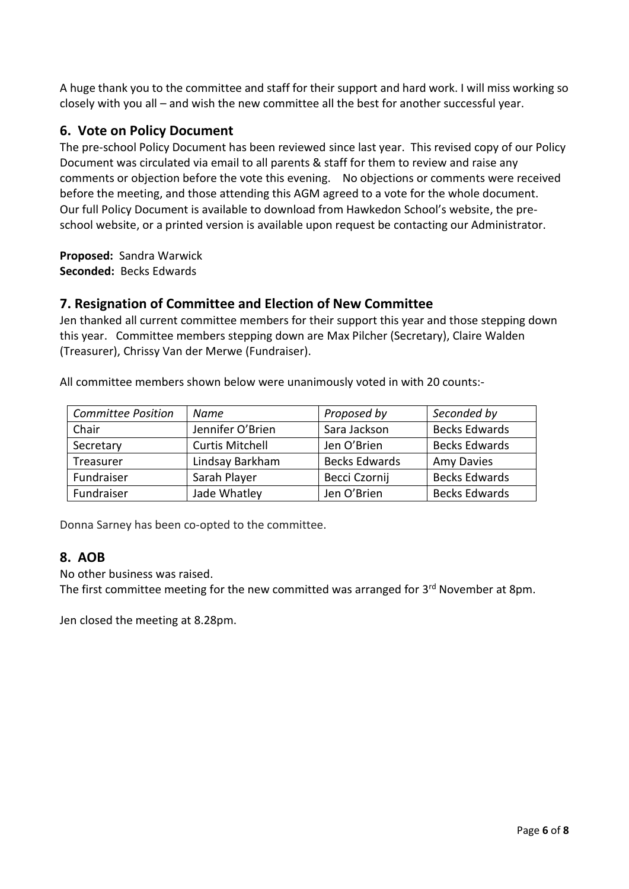A huge thank you to the committee and staff for their support and hard work. I will miss working so closely with you all – and wish the new committee all the best for another successful year.

# **6. Vote on Policy Document**

The pre-school Policy Document has been reviewed since last year. This revised copy of our Policy Document was circulated via email to all parents & staff for them to review and raise any comments or objection before the vote this evening. No objections or comments were received before the meeting, and those attending this AGM agreed to a vote for the whole document. Our full Policy Document is available to download from Hawkedon School's website, the preschool website, or a printed version is available upon request be contacting our Administrator.

**Proposed:** Sandra Warwick **Seconded:** Becks Edwards

# **7. Resignation of Committee and Election of New Committee**

Jen thanked all current committee members for their support this year and those stepping down this year. Committee members stepping down are Max Pilcher (Secretary), Claire Walden (Treasurer), Chrissy Van der Merwe (Fundraiser).

| <b>Committee Position</b> | Name                   | Proposed by          | Seconded by          |
|---------------------------|------------------------|----------------------|----------------------|
| Chair                     | Jennifer O'Brien       | Sara Jackson         | <b>Becks Edwards</b> |
| Secretary                 | <b>Curtis Mitchell</b> | Jen O'Brien          | <b>Becks Edwards</b> |
| Treasurer                 | Lindsay Barkham        | <b>Becks Edwards</b> | <b>Amy Davies</b>    |
| Fundraiser                | Sarah Player           | Becci Czornij        | <b>Becks Edwards</b> |
| Fundraiser                | Jade Whatley           | Jen O'Brien          | <b>Becks Edwards</b> |

All committee members shown below were unanimously voted in with 20 counts:-

Donna Sarney has been co-opted to the committee.

# **8. AOB**

No other business was raised.

The first committee meeting for the new committed was arranged for 3<sup>rd</sup> November at 8pm.

Jen closed the meeting at 8.28pm.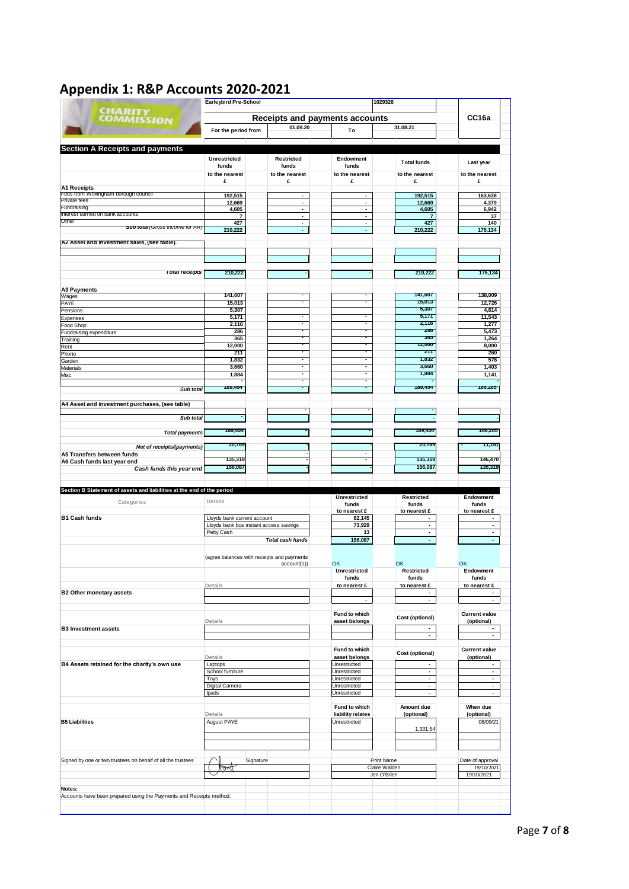| <b>CHARITY</b><br><b>COMMISSION</b><br><b>Section A Receipts and payments</b><br><b>A1 Receipts</b><br>Fees from Wokingham borough council<br><b>Private fees</b><br>Fundraising<br>Interest earned on bank accounts | For the period from                                                   |                                  |                                | <b>Earleybird Pre-School</b><br>1029326 |                                                      |  |  |
|----------------------------------------------------------------------------------------------------------------------------------------------------------------------------------------------------------------------|-----------------------------------------------------------------------|----------------------------------|--------------------------------|-----------------------------------------|------------------------------------------------------|--|--|
|                                                                                                                                                                                                                      |                                                                       |                                  | Receipts and payments accounts |                                         | CC <sub>16a</sub>                                    |  |  |
|                                                                                                                                                                                                                      |                                                                       | 01.09.20                         | To                             | 31.08.21                                |                                                      |  |  |
|                                                                                                                                                                                                                      |                                                                       |                                  |                                |                                         |                                                      |  |  |
|                                                                                                                                                                                                                      | <b>Unrestricted</b>                                                   | Restricted                       | Endowment                      |                                         |                                                      |  |  |
|                                                                                                                                                                                                                      | funds                                                                 | funds                            | funds                          | <b>Total funds</b>                      | Last year                                            |  |  |
|                                                                                                                                                                                                                      | to the nearest                                                        | to the nearest                   | to the nearest                 | to the nearest                          | to the nearest                                       |  |  |
|                                                                                                                                                                                                                      | £                                                                     | £                                | £                              | £                                       | £                                                    |  |  |
|                                                                                                                                                                                                                      | 192,515                                                               | ٠                                | $\blacksquare$                 | 192,515                                 | 163,638                                              |  |  |
|                                                                                                                                                                                                                      | 12,669<br>4,605                                                       | $\blacksquare$<br>$\blacksquare$ | ۰<br>$\blacksquare$            | 12,669<br>4,605                         | 4,379<br>6,942                                       |  |  |
|                                                                                                                                                                                                                      | $\overline{7}$                                                        | $\blacksquare$                   | $\blacksquare$                 | $\overline{7}$                          | 37                                                   |  |  |
| Other<br><b>Sub total</b> (Gross income for AR)                                                                                                                                                                      | 427<br>210,222                                                        | $\sim$<br>ä,                     | $\sim$<br>ä,                   | 427<br>210.222                          | 140<br>175,134                                       |  |  |
| A2 Asset and investment sales, (see table).                                                                                                                                                                          |                                                                       |                                  |                                |                                         |                                                      |  |  |
|                                                                                                                                                                                                                      |                                                                       |                                  |                                |                                         |                                                      |  |  |
| <b>Total receipts</b>                                                                                                                                                                                                | 210,222                                                               |                                  |                                | 210,222                                 | 175,134                                              |  |  |
| A3 Payments                                                                                                                                                                                                          | 141,607                                                               |                                  |                                | 141,607                                 | 138.009                                              |  |  |
| Wages<br>PAYE                                                                                                                                                                                                        | 15,013                                                                |                                  |                                | 15,013                                  | 12,726                                               |  |  |
| Pensions                                                                                                                                                                                                             | 5,307                                                                 |                                  |                                | 5,307                                   | 4,614                                                |  |  |
| Expenses                                                                                                                                                                                                             | 5,171<br>2,116                                                        |                                  |                                | 5,171<br>2,116                          | 11,543<br>1,277                                      |  |  |
| Food Shop<br>Fundraising expenditure                                                                                                                                                                                 | 286                                                                   |                                  |                                | 286                                     | 5,473                                                |  |  |
| Training                                                                                                                                                                                                             | 365                                                                   |                                  |                                | 365                                     | 1,264                                                |  |  |
| Rent                                                                                                                                                                                                                 | 12,000                                                                | $\overline{\phantom{a}}$         |                                | 12,000<br>211                           | 8,000                                                |  |  |
| Phone<br>Garden                                                                                                                                                                                                      | 211<br>1,832                                                          |                                  |                                | 1,832                                   | 260<br>576                                           |  |  |
| Materials                                                                                                                                                                                                            | 3,660                                                                 |                                  |                                | 3,660                                   | 1,403                                                |  |  |
| Vlisc                                                                                                                                                                                                                | 1,884                                                                 |                                  |                                | 1,884                                   | 1,141                                                |  |  |
| Sub total                                                                                                                                                                                                            | 189,454                                                               |                                  |                                | 189,454                                 | 186,285                                              |  |  |
|                                                                                                                                                                                                                      |                                                                       |                                  |                                |                                         |                                                      |  |  |
| A4 Asset and investment purchases, (see table)                                                                                                                                                                       |                                                                       |                                  |                                |                                         |                                                      |  |  |
| Sub total                                                                                                                                                                                                            |                                                                       |                                  |                                | ٠                                       |                                                      |  |  |
|                                                                                                                                                                                                                      |                                                                       |                                  |                                |                                         |                                                      |  |  |
| <b>Total payments</b>                                                                                                                                                                                                | 189,454                                                               |                                  |                                | 189,454                                 | 186,285                                              |  |  |
| Net of receipts/(payments)                                                                                                                                                                                           | 20,769                                                                |                                  |                                | 20,769                                  | 11,151                                               |  |  |
| A5 Transfers between funds                                                                                                                                                                                           |                                                                       |                                  |                                |                                         |                                                      |  |  |
| A6 Cash funds last year end                                                                                                                                                                                          | 135,319                                                               |                                  |                                | 135,319                                 | 146,470                                              |  |  |
| Cash funds this year end                                                                                                                                                                                             | 156,087                                                               |                                  |                                | 156,087                                 | 135,319                                              |  |  |
|                                                                                                                                                                                                                      |                                                                       |                                  |                                |                                         |                                                      |  |  |
| Section B Statement of assets and liabilities at the end of the period                                                                                                                                               |                                                                       |                                  | <b>Unrestricted</b>            |                                         |                                                      |  |  |
| Categories                                                                                                                                                                                                           | Details                                                               |                                  | funds                          | Restricted<br>funds                     | Endowment<br>funds                                   |  |  |
|                                                                                                                                                                                                                      |                                                                       |                                  | to nearest £                   | to nearest £                            | to nearest £                                         |  |  |
| <b>B1 Cash funds</b>                                                                                                                                                                                                 | Lloyds bank current account<br>Lloyds bank bus instant access savings |                                  | 82,145<br>73,929               | ٠<br>$\blacksquare$                     | ٠<br>$\overline{\phantom{a}}$                        |  |  |
|                                                                                                                                                                                                                      | Petty Cash                                                            |                                  | 13                             | $\blacksquare$                          | $\blacksquare$                                       |  |  |
|                                                                                                                                                                                                                      |                                                                       | <b>Total cash funds</b>          | 156,087                        | a.                                      | ä,                                                   |  |  |
|                                                                                                                                                                                                                      |                                                                       |                                  |                                |                                         |                                                      |  |  |
|                                                                                                                                                                                                                      | (agree balances with receipts and payments                            |                                  |                                |                                         |                                                      |  |  |
|                                                                                                                                                                                                                      |                                                                       | account(s))                      | OK<br><b>Unrestricted</b>      | OK<br><b>Restricted</b>                 | OK<br>Endowment                                      |  |  |
|                                                                                                                                                                                                                      |                                                                       |                                  | funds                          | funds                                   | funds                                                |  |  |
|                                                                                                                                                                                                                      | Details                                                               |                                  | to nearest £                   | to nearest £                            | to nearest £                                         |  |  |
|                                                                                                                                                                                                                      |                                                                       |                                  |                                | $\blacksquare$<br>$\sim$                | $\blacksquare$<br>$\mathbf{r}$                       |  |  |
| <b>B2 Other monetary assets</b>                                                                                                                                                                                      |                                                                       |                                  |                                |                                         |                                                      |  |  |
|                                                                                                                                                                                                                      |                                                                       |                                  | Fund to which                  | Cost (optional)                         | <b>Current value</b>                                 |  |  |
|                                                                                                                                                                                                                      |                                                                       |                                  |                                |                                         | (optional)                                           |  |  |
|                                                                                                                                                                                                                      | Details                                                               |                                  | asset belongs                  |                                         |                                                      |  |  |
|                                                                                                                                                                                                                      |                                                                       |                                  |                                | ä,                                      | $\overline{\phantom{a}}$<br>$\overline{\phantom{a}}$ |  |  |
|                                                                                                                                                                                                                      |                                                                       |                                  |                                | $\blacksquare$                          |                                                      |  |  |
|                                                                                                                                                                                                                      |                                                                       |                                  | Fund to which                  |                                         | <b>Current value</b>                                 |  |  |
|                                                                                                                                                                                                                      | Details                                                               |                                  | asset belongs                  | Cost (optional)                         | (optional)                                           |  |  |
|                                                                                                                                                                                                                      | Laptops<br>School furniture                                           |                                  | Unrestricted<br>Unrestricted   | $\blacksquare$<br>$\blacksquare$        | ٠<br>$\blacksquare$                                  |  |  |
|                                                                                                                                                                                                                      | Toys                                                                  |                                  | Unrestricted                   | $\sim$                                  | $\blacksquare$                                       |  |  |
|                                                                                                                                                                                                                      | Digital Camera                                                        |                                  | Unrestricted                   | $\blacksquare$                          | $\overline{\phantom{a}}$                             |  |  |
|                                                                                                                                                                                                                      | Ipads                                                                 |                                  | Unrestricted                   | $\blacksquare$                          | $\overline{\phantom{a}}$                             |  |  |
|                                                                                                                                                                                                                      |                                                                       |                                  | Fund to which                  | Amount due                              | When due                                             |  |  |
|                                                                                                                                                                                                                      | Details                                                               |                                  | liability relates              | (optional)                              | (optional)                                           |  |  |
|                                                                                                                                                                                                                      | August PAYE                                                           |                                  | Unrestricted                   |                                         | 08/09/21                                             |  |  |
|                                                                                                                                                                                                                      |                                                                       |                                  |                                | 1,331.54                                |                                                      |  |  |
|                                                                                                                                                                                                                      |                                                                       |                                  |                                |                                         |                                                      |  |  |
|                                                                                                                                                                                                                      |                                                                       |                                  |                                |                                         |                                                      |  |  |
| <b>B3 Investment assets</b><br>B4 Assets retained for the charity's own use<br><b>B5 Liabilities</b><br>Signed by one or two trustees on behalf of all the trustees                                                  | Signature                                                             |                                  |                                | Print Name                              | Date of approval                                     |  |  |
|                                                                                                                                                                                                                      |                                                                       |                                  |                                | Claire Walden                           | 19/10/2021                                           |  |  |
|                                                                                                                                                                                                                      |                                                                       |                                  |                                | Jen O'Brien                             | 19/10/2021                                           |  |  |
| Notes:<br>Accounts have been prepared using the Payments and Receipts method.                                                                                                                                        |                                                                       |                                  |                                |                                         |                                                      |  |  |